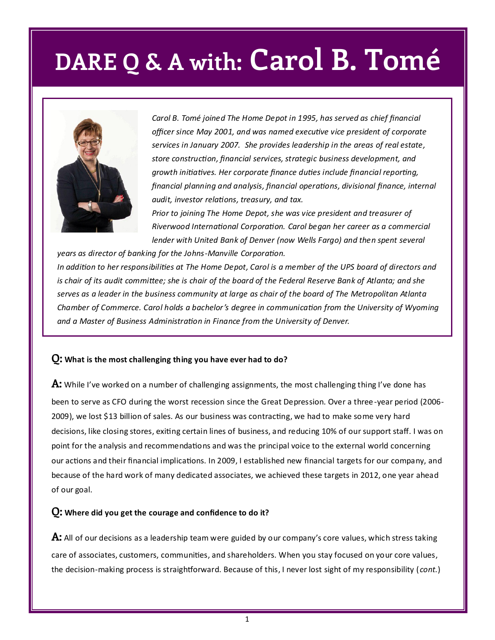## **DARE Q & A with: Carol B. Tomé**



*Carol B. Tomé joined The Home Depot in 1995, has served as chief financial officer since May 2001, and was named executive vice president of corporate services in January 2007. She provides leadership in the areas of real estate, store construction, financial services, strategic business development, and growth initiatives. Her corporate finance duties include financial reporting, financial planning and analysis, financial operations, divisional finance, internal audit, investor relations, treasury, and tax.* 

*Prior to joining The Home Depot, she was vice president and treasurer of Riverwood International Corporation. Carol began her career as a commercial lender with United Bank of Denver (now Wells Fargo) and then spent several* 

*years as director of banking for the Johns-Manville Corporation. In addition to her responsibilities at The Home Depot, Carol is a member of the UPS board of directors and is chair of its audit committee; she is chair of the board of the Federal Reserve Bank of Atlanta; and she serves as a leader in the business community at large as chair of the board of The Metropolitan Atlanta Chamber of Commerce. Carol holds a bachelor's degree in communication from the University of Wyoming and a Master of Business Administration in Finance from the University of Denver.* 

### **Q: What is the most challenging thing you have ever had to do?**

**A:** While I've worked on a number of challenging assignments, the most challenging thing I've done has been to serve as CFO during the worst recession since the Great Depression. Over a three -year period (2006- 2009), we lost \$13 billion of sales. As our business was contracting, we had to make some very hard decisions, like closing stores, exiting certain lines of business, and reducing 10% of our support staff. I was on point for the analysis and recommendations and was the principal voice to the external world concerning our actions and their financial implications. In 2009, I established new financial targets for our company, and because of the hard work of many dedicated associates, we achieved these targets in 2012, one year ahead of our goal.

#### **Q: Where did you get the courage and confidence to do it?**

**A:** All of our decisions as a leadership team were guided by our company's core values, which stress taking care of associates, customers, communities, and shareholders. When you stay focused on your core values, the decision-making process is straightforward. Because of this, I never lost sight of my responsibility (*cont.*)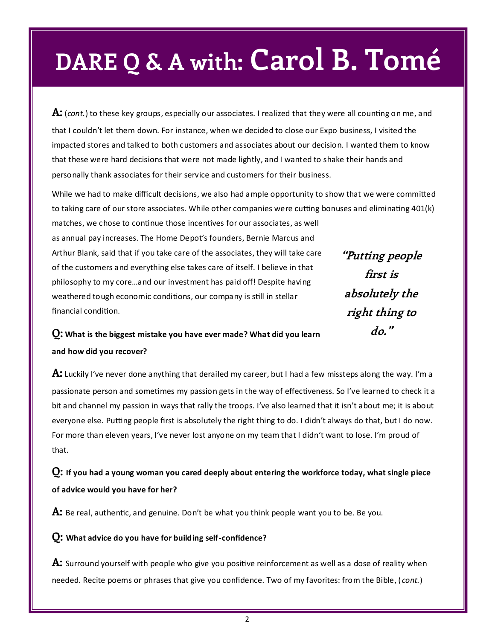## **DARE Q & A with: Carol B. Tomé**

**A:** (*cont.*) to these key groups, especially our associates. I realized that they were all counting on me, and that I couldn't let them down. For instance, when we decided to close our Expo business, I visited the impacted stores and talked to both customers and associates about our decision. I wanted them to know that these were hard decisions that were not made lightly, and I wanted to shake their hands and personally thank associates for their service and customers for their business.

While we had to make difficult decisions, we also had ample opportunity to show that we were committed to taking care of our store associates. While other companies were cutting bonuses and eliminating 401(k) matches, we chose to continue those incentives for our associates, as well

as annual pay increases. The Home Depot's founders, Bernie Marcus and Arthur Blank, said that if you take care of the associates, they will take care of the customers and everything else takes care of itself. I believe in that philosophy to my core…and our investment has paid off! Despite having weathered tough economic conditions, our company is still in stellar financial condition.

**"Putting people first is absolutely the right thing to do."** 

## **Q: What is the biggest mistake you have ever made? What did you learn and how did you recover?**

**A:** Luckily I've never done anything that derailed my career, but I had a few missteps along the way. I'm a passionate person and sometimes my passion gets in the way of effectiveness. So I've learned to check it a bit and channel my passion in ways that rally the troops. I've also learned that it isn't about me; it is about everyone else. Putting people first is absolutely the right thing to do. I didn't always do that, but I do now. For more than eleven years, I've never lost anyone on my team that I didn't want to lose. I'm proud of that.

**Q: If you had a young woman you cared deeply about entering the workforce today, what single piece of advice would you have for her?**

A: Be real, authentic, and genuine. Don't be what you think people want you to be. Be you.

### **Q: What advice do you have for building self-confidence?**

**A:** Surround yourself with people who give you positive reinforcement as well as a dose of reality when needed. Recite poems or phrases that give you confidence. Two of my favorites: from the Bible, ( *cont.*)